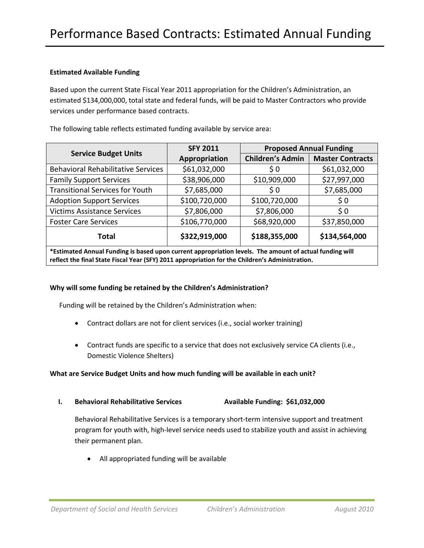## **Estimated Available Funding**

Based upon the current State Fiscal Year 2011 appropriation for the Children's Administration, an estimated \$134,000,000, total state and federal funds, will be paid to Master Contractors who provide services under performance based contracts.

**Service Budget Units SFY <sup>2011</sup> Appropriation Proposed Annual Funding Children's Admin Master Contracts** Behavioral Rehabilitative Services  $\vert$  \$61,032,000  $\vert$  \$0  $\vert$  \$61,032,000 Family Support Services | \$38,906,000 | \$10,909,000 | \$27,997,000 Transitional Services for Youth  $\begin{array}{ccc} | & 57,685,000 \\ \end{array}$   $\begin{array}{ccc} | & 50 \\ \end{array}$   $\begin{array}{ccc} \end{array}$  \$7,685,000 Adoption Support Services \$100,720,000 \$100,720,000 \$ 0 Victims Assistance Services | \$7,806,000 | \$7,806,000 | \$0 Foster Care Services | \$106,770,000 | \$68,920,000 | \$37,850,000 **Total \$322,919,000 \$188,355,000 \$134,564,000 \*Estimated Annual Funding is based upon current appropriation levels. The amount of actual funding will reflect the final State Fiscal Year (SFY) 2011 appropriation for the Children's Administration.** 

The following table reflects estimated funding available by service area:

## **Why will some funding be retained by the Children's Administration?**

Funding will be retained by the Children's Administration when:

- Contract dollars are not for client services (i.e., social worker training)
- Contract funds are specific to a service that does not exclusively service CA clients (i.e., Domestic Violence Shelters)

## **What are Service Budget Units and how much funding will be available in each unit?**

**I. Behavioral Rehabilitative Services Available Funding: \$61,032,000**

Behavioral Rehabilitative Services is a temporary short-term intensive support and treatment program for youth with, high-level service needs used to stabilize youth and assist in achieving their permanent plan.

• All appropriated funding will be available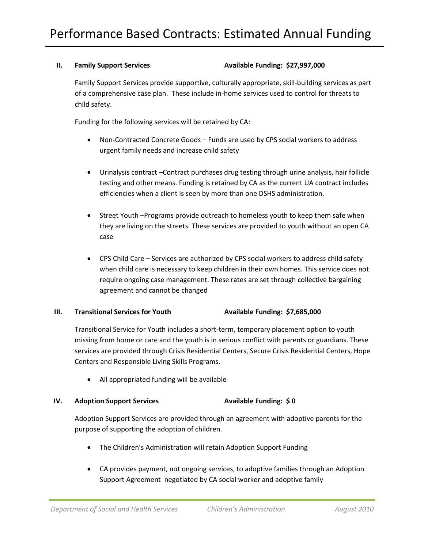#### **II. Family Support Services Available Funding: \$27,997,000**

Family Support Services provide supportive, culturally appropriate, skill-building services as part of a comprehensive case plan. These include in-home services used to control for threats to child safety.

Funding for the following services will be retained by CA:

- Non-Contracted Concrete Goods Funds are used by CPS social workers to address urgent family needs and increase child safety
- Urinalysis contract –Contract purchases drug testing through urine analysis, hair follicle testing and other means. Funding is retained by CA as the current UA contract includes efficiencies when a client is seen by more than one DSHS administration.
- Street Youth –Programs provide outreach to homeless youth to keep them safe when they are living on the streets. These services are provided to youth without an open CA case
- CPS Child Care Services are authorized by CPS social workers to address child safety when child care is necessary to keep children in their own homes. This service does not require ongoing case management. These rates are set through collective bargaining agreement and cannot be changed

## **III. Transitional Services for Youth Available Funding: \$7,685,000**

Transitional Service for Youth includes a short-term, temporary placement option to youth missing from home or care and the youth is in serious conflict with parents or guardians. These services are provided through Crisis Residential Centers, Secure Crisis Residential Centers, Hope Centers and Responsible Living Skills Programs.

• All appropriated funding will be available

## **IV. Adoption Support Services Available Funding: \$ 0**

Adoption Support Services are provided through an agreement with adoptive parents for the purpose of supporting the adoption of children.

- The Children's Administration will retain Adoption Support Funding
- CA provides payment, not ongoing services, to adoptive families through an Adoption Support Agreement negotiated by CA social worker and adoptive family